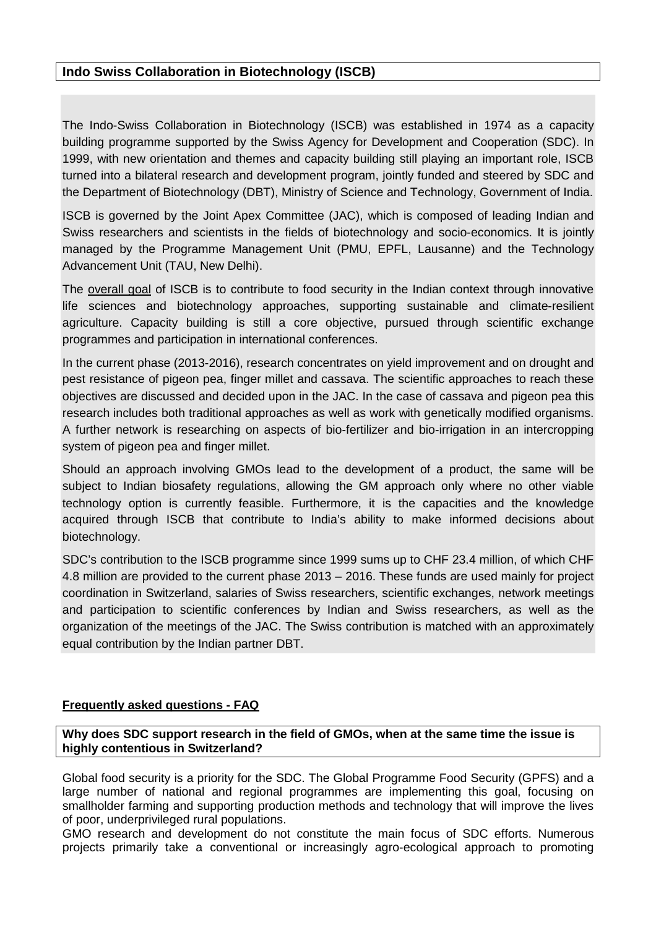# **Indo Swiss Collaboration in Biotechnology (ISCB)**

The Indo-Swiss Collaboration in Biotechnology (ISCB) was established in 1974 as a capacity building programme supported by the Swiss Agency for Development and Cooperation (SDC). In 1999, with new orientation and themes and capacity building still playing an important role, ISCB turned into a bilateral research and development program, jointly funded and steered by SDC and the Department of Biotechnology (DBT), Ministry of Science and Technology, Government of India.

ISCB is governed by the Joint Apex Committee (JAC), which is composed of leading Indian and Swiss researchers and scientists in the fields of biotechnology and socio-economics. It is jointly managed by the Programme Management Unit (PMU, EPFL, Lausanne) and the Technology Advancement Unit (TAU, New Delhi).

The overall goal of ISCB is to contribute to food security in the Indian context through innovative life sciences and biotechnology approaches, supporting sustainable and climate-resilient agriculture. Capacity building is still a core objective, pursued through scientific exchange programmes and participation in international conferences.

In the current phase (2013-2016), research concentrates on yield improvement and on drought and pest resistance of pigeon pea, finger millet and cassava. The scientific approaches to reach these objectives are discussed and decided upon in the JAC. In the case of cassava and pigeon pea this research includes both traditional approaches as well as work with genetically modified organisms. A further network is researching on aspects of bio-fertilizer and bio-irrigation in an intercropping system of pigeon pea and finger millet.

Should an approach involving GMOs lead to the development of a product, the same will be subject to Indian biosafety regulations, allowing the GM approach only where no other viable technology option is currently feasible. Furthermore, it is the capacities and the knowledge acquired through ISCB that contribute to India's ability to make informed decisions about biotechnology.

SDC's contribution to the ISCB programme since 1999 sums up to CHF 23.4 million, of which CHF 4.8 million are provided to the current phase 2013 – 2016. These funds are used mainly for project coordination in Switzerland, salaries of Swiss researchers, scientific exchanges, network meetings and participation to scientific conferences by Indian and Swiss researchers, as well as the organization of the meetings of the JAC. The Swiss contribution is matched with an approximately equal contribution by the Indian partner DBT.

## **Frequently asked questions - FAQ**

**Why does SDC support research in the field of GMOs, when at the same time the issue is highly contentious in Switzerland?** 

Global food security is a priority for the SDC. The Global Programme Food Security (GPFS) and a large number of national and regional programmes are implementing this goal, focusing on smallholder farming and supporting production methods and technology that will improve the lives of poor, underprivileged rural populations.

GMO research and development do not constitute the main focus of SDC efforts. Numerous projects primarily take a conventional or increasingly agro-ecological approach to promoting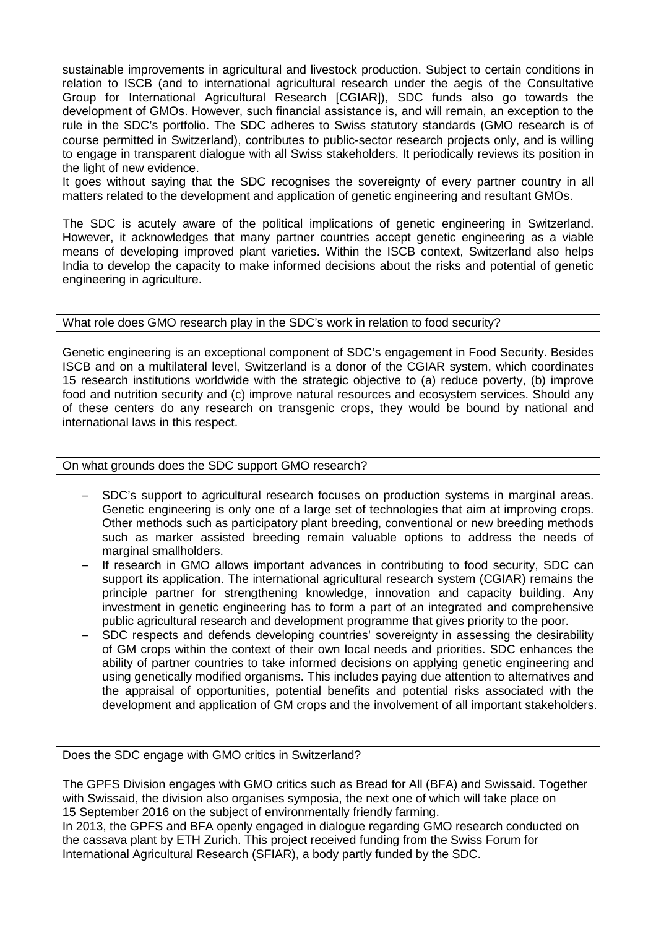sustainable improvements in agricultural and livestock production. Subject to certain conditions in relation to ISCB (and to international agricultural research under the aegis of the Consultative Group for International Agricultural Research [CGIAR]), SDC funds also go towards the development of GMOs. However, such financial assistance is, and will remain, an exception to the rule in the SDC's portfolio. The SDC adheres to Swiss statutory standards (GMO research is of course permitted in Switzerland), contributes to public-sector research projects only, and is willing to engage in transparent dialogue with all Swiss stakeholders. It periodically reviews its position in the light of new evidence.

It goes without saying that the SDC recognises the sovereignty of every partner country in all matters related to the development and application of genetic engineering and resultant GMOs.

The SDC is acutely aware of the political implications of genetic engineering in Switzerland. However, it acknowledges that many partner countries accept genetic engineering as a viable means of developing improved plant varieties. Within the ISCB context, Switzerland also helps India to develop the capacity to make informed decisions about the risks and potential of genetic engineering in agriculture.

## What role does GMO research play in the SDC's work in relation to food security?

Genetic engineering is an exceptional component of SDC's engagement in Food Security. Besides ISCB and on a multilateral level, Switzerland is a donor of the CGIAR system, which coordinates 15 research institutions worldwide with the strategic objective to (a) reduce poverty, (b) improve food and nutrition security and (c) improve natural resources and ecosystem services. Should any of these centers do any research on transgenic crops, they would be bound by national and international laws in this respect.

On what grounds does the SDC support GMO research?

- SDC's support to agricultural research focuses on production systems in marginal areas. Genetic engineering is only one of a large set of technologies that aim at improving crops. Other methods such as participatory plant breeding, conventional or new breeding methods such as marker assisted breeding remain valuable options to address the needs of marginal smallholders.
- If research in GMO allows important advances in contributing to food security, SDC can support its application. The international agricultural research system (CGIAR) remains the principle partner for strengthening knowledge, innovation and capacity building. Any investment in genetic engineering has to form a part of an integrated and comprehensive public agricultural research and development programme that gives priority to the poor.
- SDC respects and defends developing countries' sovereignty in assessing the desirability of GM crops within the context of their own local needs and priorities. SDC enhances the ability of partner countries to take informed decisions on applying genetic engineering and using genetically modified organisms. This includes paying due attention to alternatives and the appraisal of opportunities, potential benefits and potential risks associated with the development and application of GM crops and the involvement of all important stakeholders.

Does the SDC engage with GMO critics in Switzerland?

The GPFS Division engages with GMO critics such as Bread for All (BFA) and Swissaid. Together with Swissaid, the division also organises symposia, the next one of which will take place on 15 September 2016 on the subject of environmentally friendly farming. In 2013, the GPFS and BFA openly engaged in dialogue regarding GMO research conducted on the cassava plant by ETH Zurich. This project received funding from the Swiss Forum for

International Agricultural Research (SFIAR), a body partly funded by the SDC.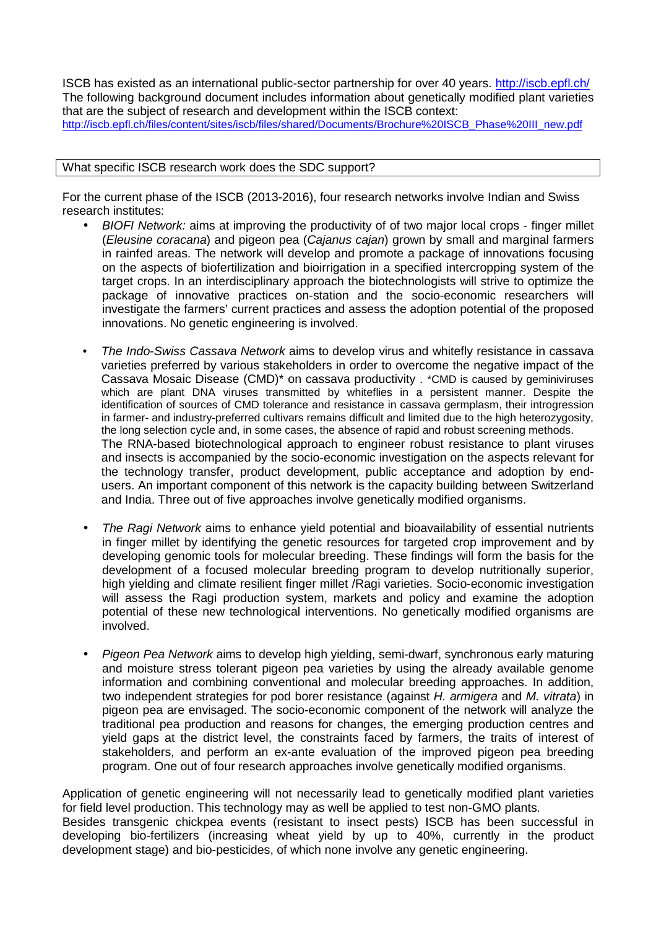ISCB has existed as an international public-sector partnership for over 40 years. http://iscb.epfl.ch/ The following background document includes information about genetically modified plant varieties that are the subject of research and development within the ISCB context: http://iscb.epfl.ch/files/content/sites/iscb/files/shared/Documents/Brochure%20ISCB\_Phase%20III\_new.pdf

### What specific ISCB research work does the SDC support?

For the current phase of the ISCB (2013-2016), four research networks involve Indian and Swiss research institutes:

- BIOFI Network: aims at improving the productivity of of two major local crops finger millet (Eleusine coracana) and pigeon pea (Cajanus cajan) grown by small and marginal farmers in rainfed areas. The network will develop and promote a package of innovations focusing on the aspects of biofertilization and bioirrigation in a specified intercropping system of the target crops. In an interdisciplinary approach the biotechnologists will strive to optimize the package of innovative practices on-station and the socio-economic researchers will investigate the farmers' current practices and assess the adoption potential of the proposed innovations. No genetic engineering is involved.
- The Indo-Swiss Cassava Network aims to develop virus and whitefly resistance in cassava varieties preferred by various stakeholders in order to overcome the negative impact of the Cassava Mosaic Disease (CMD)\* on cassava productivity . \*CMD is caused by geminiviruses which are plant DNA viruses transmitted by whiteflies in a persistent manner. Despite the identification of sources of CMD tolerance and resistance in cassava germplasm, their introgression in farmer- and industry-preferred cultivars remains difficult and limited due to the high heterozygosity, the long selection cycle and, in some cases, the absence of rapid and robust screening methods. The RNA-based biotechnological approach to engineer robust resistance to plant viruses and insects is accompanied by the socio-economic investigation on the aspects relevant for the technology transfer, product development, public acceptance and adoption by endusers. An important component of this network is the capacity building between Switzerland and India. Three out of five approaches involve genetically modified organisms.
- The Ragi Network aims to enhance yield potential and bioavailability of essential nutrients in finger millet by identifying the genetic resources for targeted crop improvement and by developing genomic tools for molecular breeding. These findings will form the basis for the development of a focused molecular breeding program to develop nutritionally superior, high yielding and climate resilient finger millet /Ragi varieties. Socio-economic investigation will assess the Ragi production system, markets and policy and examine the adoption potential of these new technological interventions. No genetically modified organisms are involved.
- Pigeon Pea Network aims to develop high yielding, semi-dwarf, synchronous early maturing and moisture stress tolerant pigeon pea varieties by using the already available genome information and combining conventional and molecular breeding approaches. In addition, two independent strategies for pod borer resistance (against H. armigera and M. vitrata) in pigeon pea are envisaged. The socio-economic component of the network will analyze the traditional pea production and reasons for changes, the emerging production centres and yield gaps at the district level, the constraints faced by farmers, the traits of interest of stakeholders, and perform an ex-ante evaluation of the improved pigeon pea breeding program. One out of four research approaches involve genetically modified organisms.

Application of genetic engineering will not necessarily lead to genetically modified plant varieties for field level production. This technology may as well be applied to test non-GMO plants. Besides transgenic chickpea events (resistant to insect pests) ISCB has been successful in developing bio-fertilizers (increasing wheat yield by up to 40%, currently in the product development stage) and bio-pesticides, of which none involve any genetic engineering.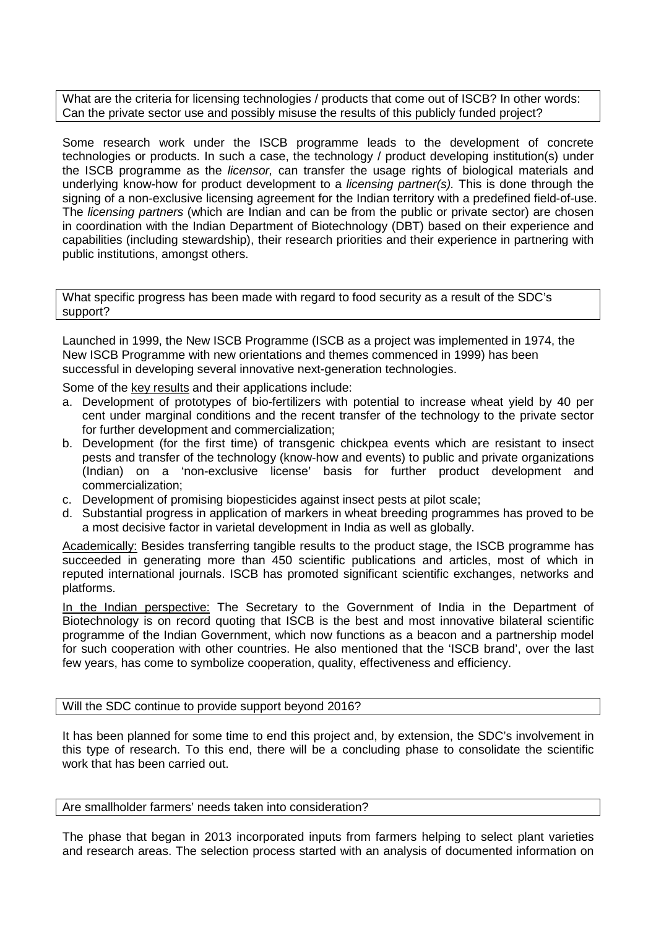What are the criteria for licensing technologies / products that come out of ISCB? In other words: Can the private sector use and possibly misuse the results of this publicly funded project?

Some research work under the ISCB programme leads to the development of concrete technologies or products. In such a case, the technology / product developing institution(s) under the ISCB programme as the *licensor*, can transfer the usage rights of biological materials and underlying know-how for product development to a *licensing partner(s)*. This is done through the signing of a non-exclusive licensing agreement for the Indian territory with a predefined field-of-use. The *licensing partners* (which are Indian and can be from the public or private sector) are chosen in coordination with the Indian Department of Biotechnology (DBT) based on their experience and capabilities (including stewardship), their research priorities and their experience in partnering with public institutions, amongst others.

What specific progress has been made with regard to food security as a result of the SDC's support?

Launched in 1999, the New ISCB Programme (ISCB as a project was implemented in 1974, the New ISCB Programme with new orientations and themes commenced in 1999) has been successful in developing several innovative next-generation technologies.

Some of the key results and their applications include:

- a. Development of prototypes of bio-fertilizers with potential to increase wheat yield by 40 per cent under marginal conditions and the recent transfer of the technology to the private sector for further development and commercialization;
- b. Development (for the first time) of transgenic chickpea events which are resistant to insect pests and transfer of the technology (know-how and events) to public and private organizations (Indian) on a 'non-exclusive license' basis for further product development and commercialization;
- c. Development of promising biopesticides against insect pests at pilot scale;
- d. Substantial progress in application of markers in wheat breeding programmes has proved to be a most decisive factor in varietal development in India as well as globally.

Academically: Besides transferring tangible results to the product stage, the ISCB programme has succeeded in generating more than 450 scientific publications and articles, most of which in reputed international journals. ISCB has promoted significant scientific exchanges, networks and platforms.

In the Indian perspective: The Secretary to the Government of India in the Department of Biotechnology is on record quoting that ISCB is the best and most innovative bilateral scientific programme of the Indian Government, which now functions as a beacon and a partnership model for such cooperation with other countries. He also mentioned that the 'ISCB brand', over the last few years, has come to symbolize cooperation, quality, effectiveness and efficiency.

#### Will the SDC continue to provide support beyond 2016?

It has been planned for some time to end this project and, by extension, the SDC's involvement in this type of research. To this end, there will be a concluding phase to consolidate the scientific work that has been carried out.

#### Are smallholder farmers' needs taken into consideration?

The phase that began in 2013 incorporated inputs from farmers helping to select plant varieties and research areas. The selection process started with an analysis of documented information on